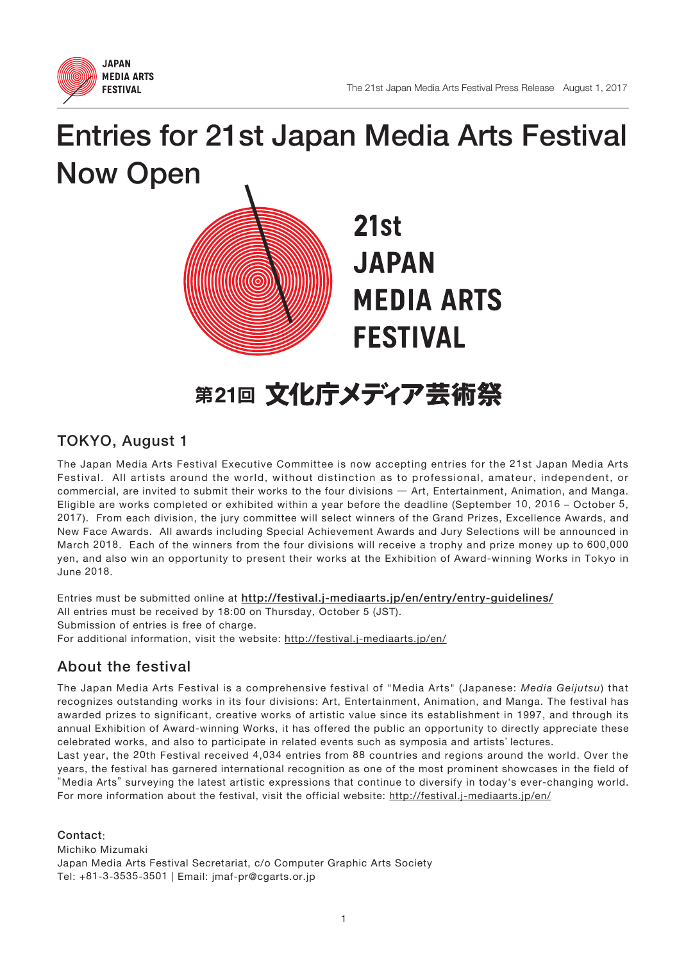

# Entries for 21st Japan Media Arts Festival Now Open



## 第21回 文化庁メディア芸術祭

### TOKYO, August 1

The Japan Media Arts Festival Executive Committee is now accepting entries for the 21st Japan Media Arts Festival. All artists around the world, without distinction as to professional, amateur, independent, or commercial, are invited to submit their works to the four divisions ̶ Art, Entertainment, Animation, and Manga. Eligible are works completed or exhibited within a year before the deadline (September 10, 2016 – October 5, 2017). From each division, the jury committee will select winners of the Grand Prizes, Excellence Awards, and New Face Awards. All awards including Special Achievement Awards and Jury Selections will be announced in March 2018. Each of the winners from the four divisions will receive a trophy and prize money up to 600,000 yen, and also win an opportunity to present their works at the Exhibition of Award-winning Works in Tokyo in June 2018.

Entries must be submitted online at http://festival.j-mediaarts.jp/en/entry/entry-guidelines/ All entries must be received by 18:00 on Thursday, October 5 (JST). Submission of entries is free of charge. For additional information, visit the website: http://festival.j-mediaarts.jp/en/

### About the festival

The Japan Media Arts Festival is a comprehensive festival of "Media Arts" (Japanese: *Media Geijutsu*) that recognizes outstanding works in its four divisions: Art, Entertainment, Animation, and Manga. The festival has awarded prizes to significant, creative works of artistic value since its establishment in 1997, and through its annual Exhibition of Award-winning Works, it has offered the public an opportunity to directly appreciate these celebrated works, and also to participate in related events such as symposia and artists' lectures.

Last year, the 20th Festival received 4,034 entries from 88 countries and regions around the world. Over the years, the festival has garnered international recognition as one of the most prominent showcases in the field of "Media Arts" surveying the latest artistic expressions that continue to diversify in today's ever-changing world. For more information about the festival, visit the official website: http://festival.j-mediaarts.jp/en/

Contact:

Michiko Mizumaki Japan Media Arts Festival Secretariat, c/o Computer Graphic Arts Society Tel: +81-3-3535-3501 | Email: jmaf-pr@cgarts.or.jp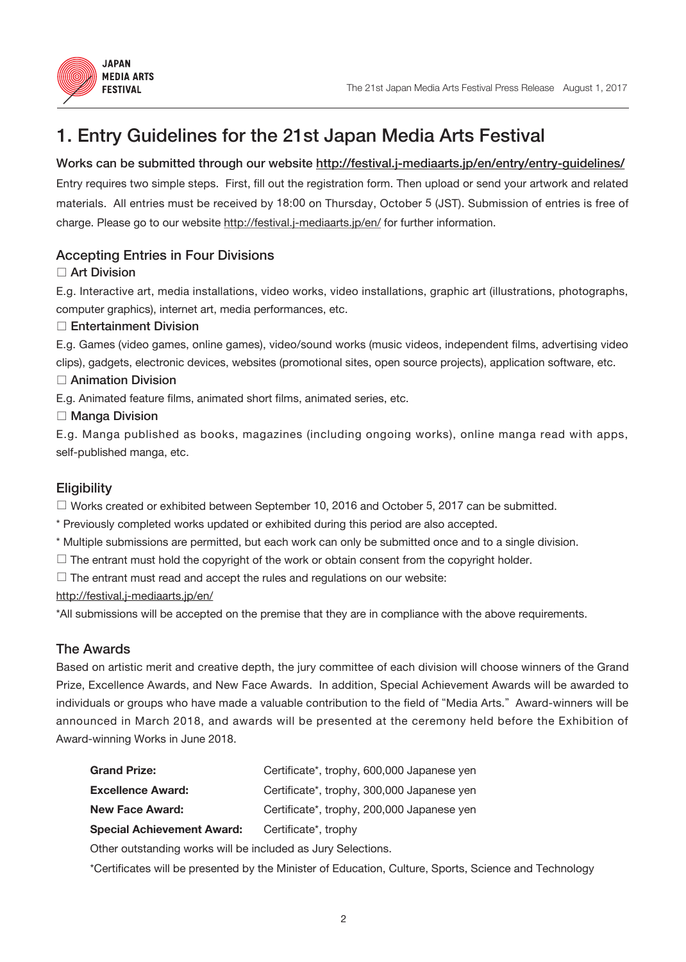

### 1. Entry Guidelines for the 21st Japan Media Arts Festival

#### Works can be submitted through our website http://festival.j-mediaarts.jp/en/entry/entry-guidelines/

Entry requires two simple steps. First, fill out the registration form. Then upload or send your artwork and related materials. All entries must be received by 18:00 on Thursday, October 5 (JST). Submission of entries is free of charge. Please go to our website http://festival.j-mediaarts.jp/en/ for further information.

### Accepting Entries in Four Divisions

#### □ Art Division

E.g. Interactive art, media installations, video works, video installations, graphic art (illustrations, photographs, computer graphics), internet art, media performances, etc.

#### □ Entertainment Division

E.g. Games (video games, online games), video/sound works (music videos, independent films, advertising video clips), gadgets, electronic devices, websites (promotional sites, open source projects), application software, etc.

### □ Animation Division

E.g. Animated feature films, animated short films, animated series, etc.

#### □ Manga Division

E.g. Manga published as books, magazines (including ongoing works), online manga read with apps, self-published manga, etc.

### **Eligibility**

 $\Box$  Works created or exhibited between September 10, 2016 and October 5, 2017 can be submitted.

\* Previously completed works updated or exhibited during this period are also accepted.

- \* Multiple submissions are permitted, but each work can only be submitted once and to a single division.
- $\square$  The entrant must hold the copyright of the work or obtain consent from the copyright holder.

 $\square$  The entrant must read and accept the rules and regulations on our website:

http://festival.j-mediaarts.jp/en/

\*All submissions will be accepted on the premise that they are in compliance with the above requirements.

#### The Awards

Based on artistic merit and creative depth, the jury committee of each division will choose winners of the Grand Prize, Excellence Awards, and New Face Awards. In addition, Special Achievement Awards will be awarded to individuals or groups who have made a valuable contribution to the field of "Media Arts." Award-winners will be announced in March 2018, and awards will be presented at the ceremony held before the Exhibition of Award-winning Works in June 2018.

| <b>Grand Prize:</b>               | Certificate*, trophy, 600,000 Japanese yen |
|-----------------------------------|--------------------------------------------|
| <b>Excellence Award:</b>          | Certificate*, trophy, 300,000 Japanese yen |
| <b>New Face Award:</b>            | Certificate*, trophy, 200,000 Japanese yen |
| <b>Special Achievement Award:</b> | Certificate <sup>*</sup> , trophy          |

Other outstanding works will be included as Jury Selections.

\*Certificates will be presented by the Minister of Education, Culture, Sports, Science and Technology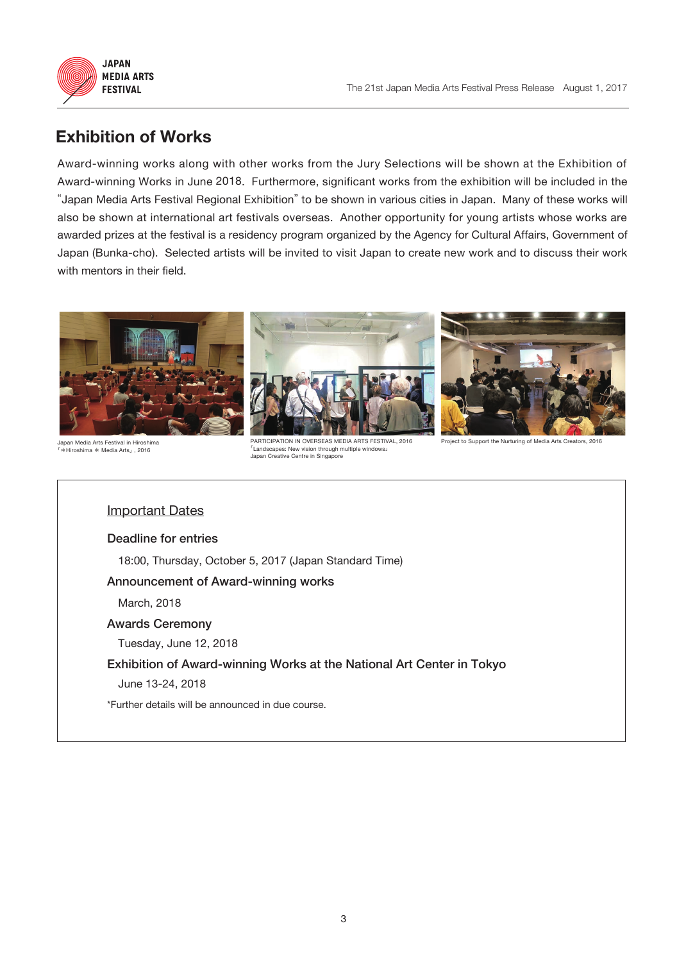



### **Exhibition of Works**

Award-winning works along with other works from the Jury Selections will be shown at the Exhibition of Award-winning Works in June 2018. Furthermore, significant works from the exhibition will be included in the "Japan Media Arts Festival Regional Exhibition" to be shown in various cities in Japan. Many of these works will also be shown at international art festivals overseas. Another opportunity for young artists whose works are awarded prizes at the festival is a residency program organized by the Agency for Cultural Affairs, Government of Japan (Bunka-cho). Selected artists will be invited to visit Japan to create new work and to discuss their work with mentors in their field.



Japan Media Arts Festival in Hiroshim 「\*Hiroshima \* Media Arts」, 2016

PARTICIPATION IN OVERSEAS MEDIA ARTS FESTIVAL, 2016 on through multip Japan Creative Centre in Singapore

Project to Support the Nurturing of Media Arts Creators, 2016

#### Important Dates

Deadline for entries 18:00, Thursday, October 5, 2017 (Japan Standard Time)

#### Announcement of Award-winning works

March, 2018

#### Awards Ceremony

Tuesday, June 12, 2018

#### Exhibition of Award-winning Works at the National Art Center in Tokyo

June 13-24, 2018

\*Further details will be announced in due course.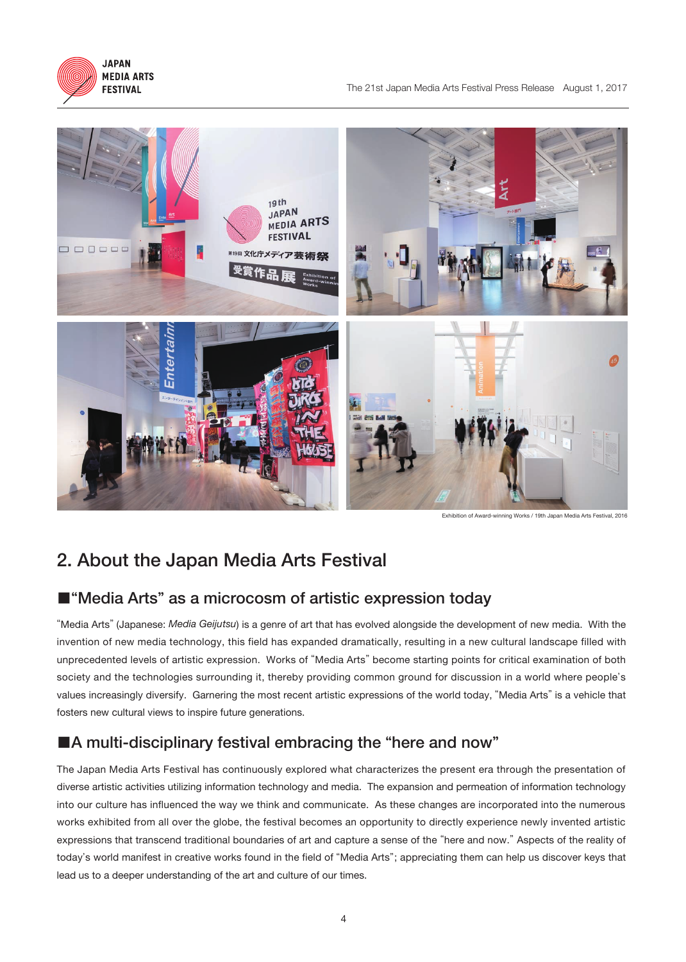



Exhibition of Award-winning Works / 19th Japan Media Arts Festival, 2016

### 2. About the Japan Media Arts Festival

### ■"Media Arts" as a microcosm of artistic expression today

"Media Arts" (Japanese: *Media Geijutsu*) is a genre of art that has evolved alongside the development of new media. With the invention of new media technology, this field has expanded dramatically, resulting in a new cultural landscape filled with unprecedented levels of artistic expression. Works of "Media Arts" become starting points for critical examination of both society and the technologies surrounding it, thereby providing common ground for discussion in a world where people's values increasingly diversify. Garnering the most recent artistic expressions of the world today, "Media Arts" is a vehicle that fosters new cultural views to inspire future generations.

### ■A multi-disciplinary festival embracing the "here and now"

The Japan Media Arts Festival has continuously explored what characterizes the present era through the presentation of diverse artistic activities utilizing information technology and media. The expansion and permeation of information technology into our culture has influenced the way we think and communicate. As these changes are incorporated into the numerous works exhibited from all over the globe, the festival becomes an opportunity to directly experience newly invented artistic expressions that transcend traditional boundaries of art and capture a sense of the "here and now." Aspects of the reality of today's world manifest in creative works found in the field of "Media Arts"; appreciating them can help us discover keys that lead us to a deeper understanding of the art and culture of our times.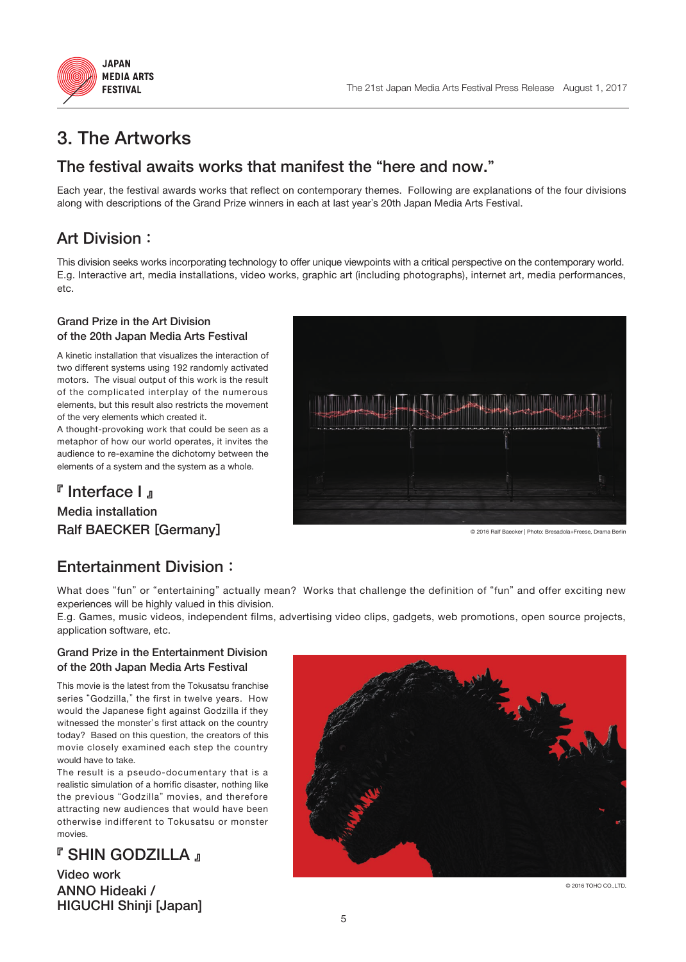



### 3. The Artworks

### The festival awaits works that manifest the "here and now."

Each year, the festival awards works that reflect on contemporary themes. Following are explanations of the four divisions along with descriptions of the Grand Prize winners in each at last year's 20th Japan Media Arts Festival.

### Art Division:

This division seeks works incorporating technology to offer unique viewpoints with a critical perspective on the contemporary world. E.g. Interactive art, media installations, video works, graphic art (including photographs), internet art, media performances, etc.

#### Grand Prize in the Art Division of the 20th Japan Media Arts Festival

A kinetic installation that visualizes the interaction of two different systems using 192 randomly activated motors. The visual output of this work is the result of the complicated interplay of the numerous elements, but this result also restricts the movement of the very elements which created it.

A thought-provoking work that could be seen as a metaphor of how our world operates, it invites the audience to re-examine the dichotomy between the elements of a system and the system as a whole.

### 『 Interface I 』 Media installation

Ralf BAECKER [Germany]

© 2016 Ralf Baecker | Photo: Bresadola+Freese, Drama Berlin

### Entertainment Division:

What does "fun" or "entertaining" actually mean? Works that challenge the definition of "fun" and offer exciting new experiences will be highly valued in this division.

E.g. Games, music videos, independent films, advertising video clips, gadgets, web promotions, open source projects, application software, etc.

#### Grand Prize in the Entertainment Division of the 20th Japan Media Arts Festival

This movie is the latest from the Tokusatsu franchise series "Godzilla," the first in twelve years. How would the Japanese fight against Godzilla if they witnessed the monster's first attack on the country today? Based on this question, the creators of this movie closely examined each step the country would have to take.

The result is a pseudo-documentary that is a realistic simulation of a horrific disaster, nothing like the previous "Godzilla" movies, and therefore attracting new audiences that would have been otherwise indifferent to Tokusatsu or monster movies.

### **『 SHIN GODZILLA 』**

Video work ANNO Hideaki / HIGUCHI Shinji [Japan]



© 2016 TOHO CO.,LTD.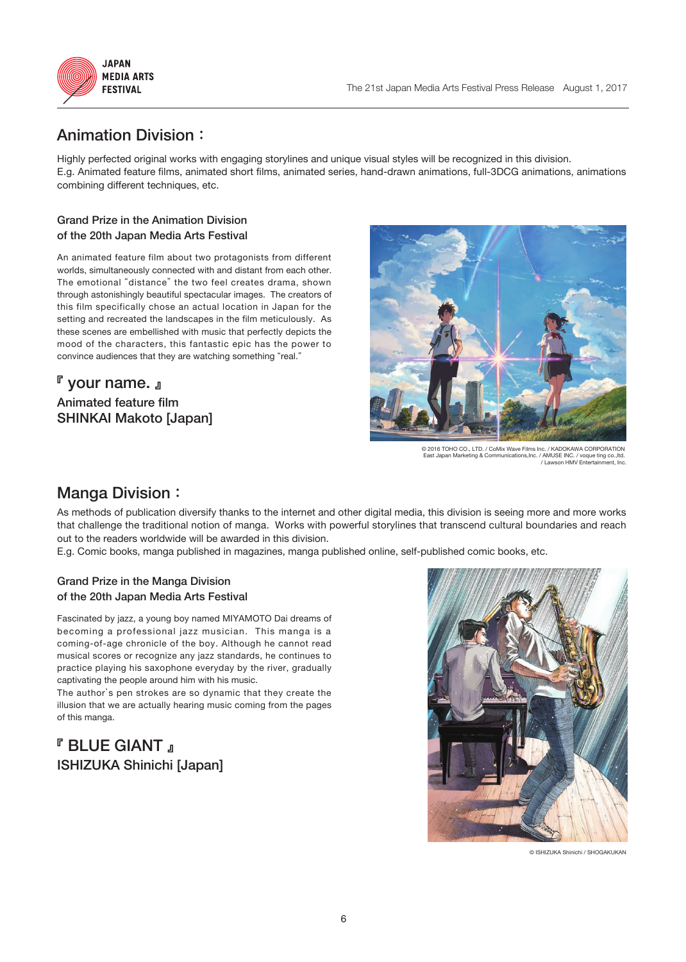

### Animation Division:

Highly perfected original works with engaging storylines and unique visual styles will be recognized in this division. E.g. Animated feature films, animated short films, animated series, hand-drawn animations, full-3DCG animations, animations combining different techniques, etc.

#### Grand Prize in the Animation Division of the 20th Japan Media Arts Festival

An animated feature film about two protagonists from different worlds, simultaneously connected with and distant from each other. The emotional "distance" the two feel creates drama, shown through astonishingly beautiful spectacular images. The creators of this film specifically chose an actual location in Japan for the setting and recreated the landscapes in the film meticulously. As these scenes are embellished with music that perfectly depicts the mood of the characters, this fantastic epic has the power to convince audiences that they are watching something "real."

### 『 your name. 』 Animated feature film SHINKAI Makoto [Japan]



© 2016 TOHO CO., LTD. / CoMix Wave Films Inc. / KADOKAWA CORPORATION East Japan Marketing & Communications,Inc. / AMUSE INC. / voque ting co.,ltd. / Lawson HMV Entertainment, Inc.

### Manga Division:

As methods of publication diversify thanks to the internet and other digital media, this division is seeing more and more works that challenge the traditional notion of manga. Works with powerful storylines that transcend cultural boundaries and reach out to the readers worldwide will be awarded in this division.

E.g. Comic books, manga published in magazines, manga published online, self-published comic books, etc.

#### Grand Prize in the Manga Division of the 20th Japan Media Arts Festival

Fascinated by jazz, a young boy named MIYAMOTO Dai dreams of becoming a professional jazz musician. This manga is a coming-of-age chronicle of the boy. Although he cannot read musical scores or recognize any jazz standards, he continues to practice playing his saxophone everyday by the river, gradually captivating the people around him with his music.

The author's pen strokes are so dynamic that they create the illusion that we are actually hearing music coming from the pages of this manga.

### 『 BLUE GIANT 』 ISHIZUKA Shinichi [Japan]



© ISHIZUKA Shinichi / SHOGAKUKAN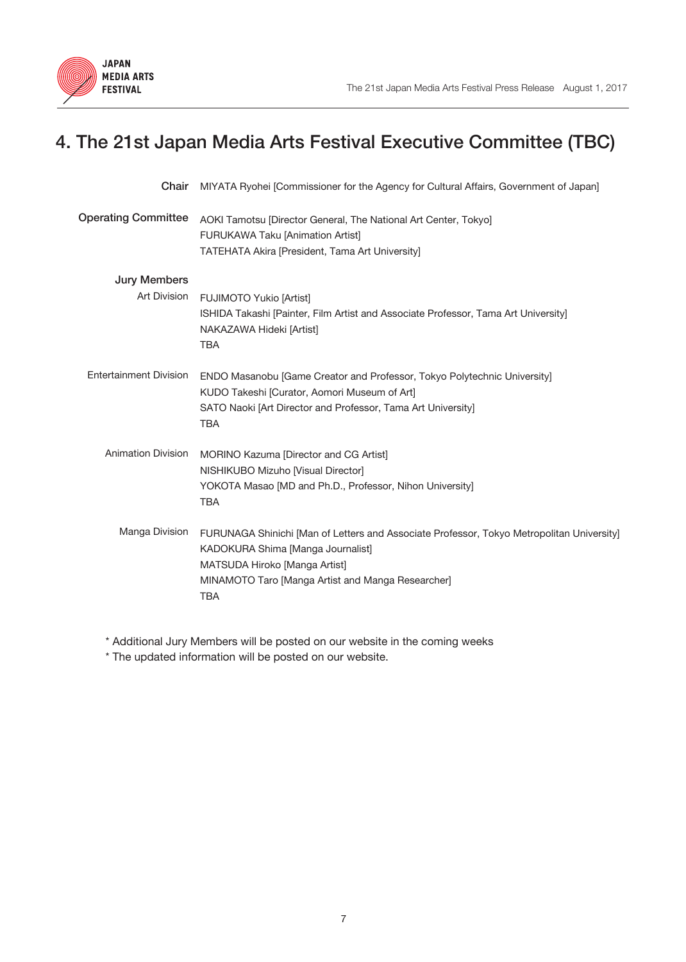

## 4. The 21st Japan Media Arts Festival Executive Committee (TBC)

| Chair                               | MIYATA Ryohei [Commissioner for the Agency for Cultural Affairs, Government of Japan]                                                                                                                                              |
|-------------------------------------|------------------------------------------------------------------------------------------------------------------------------------------------------------------------------------------------------------------------------------|
| <b>Operating Committee</b>          | AOKI Tamotsu [Director General, The National Art Center, Tokyo]<br><b>FURUKAWA Taku [Animation Artist]</b><br>TATEHATA Akira [President, Tama Art University]                                                                      |
| <b>Jury Members</b><br>Art Division | <b>FUJIMOTO Yukio [Artist]</b><br>ISHIDA Takashi [Painter, Film Artist and Associate Professor, Tama Art University]<br>NAKAZAWA Hideki [Artist]<br><b>TBA</b>                                                                     |
| <b>Entertainment Division</b>       | ENDO Masanobu [Game Creator and Professor, Tokyo Polytechnic University]<br>KUDO Takeshi [Curator, Aomori Museum of Art]<br>SATO Naoki [Art Director and Professor, Tama Art University]<br><b>TBA</b>                             |
| <b>Animation Division</b>           | MORINO Kazuma [Director and CG Artist]<br>NISHIKUBO Mizuho [Visual Director]<br>YOKOTA Masao [MD and Ph.D., Professor, Nihon University]<br><b>TBA</b>                                                                             |
| Manga Division                      | FURUNAGA Shinichi [Man of Letters and Associate Professor, Tokyo Metropolitan University]<br>KADOKURA Shima [Manga Journalist]<br>MATSUDA Hiroko [Manga Artist]<br>MINAMOTO Taro [Manga Artist and Manga Researcher]<br><b>TBA</b> |

\* Additional Jury Members will be posted on our website in the coming weeks

\* The updated information will be posted on our website.